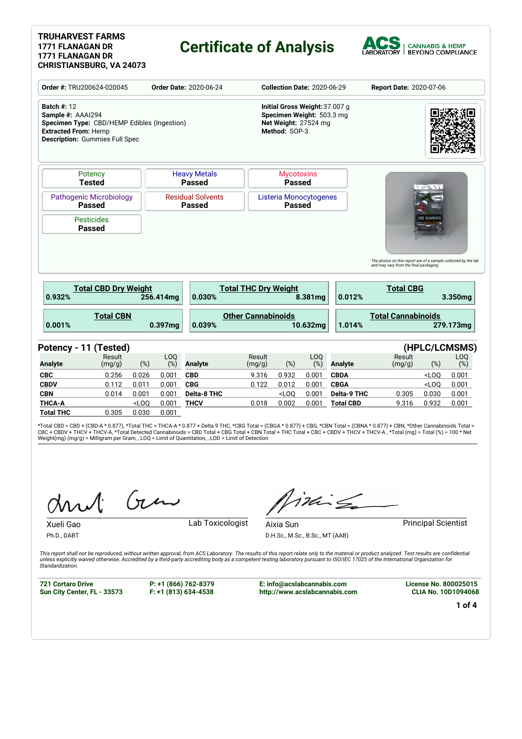## **Certificate of Analysis**



| Order #: TRU200624-020045                                                                                                                                      |                                                 |                  |                   | <b>Order Date: 2020-06-24</b>             | <b>Collection Date: 2020-06-29</b> |                                                                                                      |                        | <b>Report Date: 2020-07-06</b>         |                                                                                                                              |                    |                             |
|----------------------------------------------------------------------------------------------------------------------------------------------------------------|-------------------------------------------------|------------------|-------------------|-------------------------------------------|------------------------------------|------------------------------------------------------------------------------------------------------|------------------------|----------------------------------------|------------------------------------------------------------------------------------------------------------------------------|--------------------|-----------------------------|
| <b>Batch #: 12</b><br>Sample #: AAAI294<br>Specimen Type: CBD/HEMP Edibles (Ingestion)<br><b>Extracted From: Hemp</b><br><b>Description:</b> Gummies Full Spec |                                                 |                  |                   |                                           |                                    | Initial Gross Weight: 37.007 g<br>Specimen Weight: 503.3 mg<br>Net Weight: 27524 mg<br>Method: SOP-3 |                        |                                        |                                                                                                                              |                    |                             |
|                                                                                                                                                                | Potency<br><b>Tested</b>                        |                  |                   | <b>Heavy Metals</b><br><b>Passed</b>      |                                    | <b>Mycotoxins</b><br><b>Passed</b>                                                                   |                        |                                        |                                                                                                                              |                    |                             |
|                                                                                                                                                                | <b>Pathogenic Microbiology</b><br><b>Passed</b> |                  |                   | <b>Residual Solvents</b><br><b>Passed</b> |                                    | Listeria Monocytogenes<br><b>Passed</b>                                                              |                        |                                        |                                                                                                                              |                    |                             |
|                                                                                                                                                                | <b>Pesticides</b><br><b>Passed</b>              |                  |                   |                                           |                                    |                                                                                                      |                        |                                        |                                                                                                                              | <b>CBD GUMMIES</b> |                             |
|                                                                                                                                                                |                                                 |                  |                   |                                           |                                    |                                                                                                      |                        |                                        |                                                                                                                              |                    |                             |
|                                                                                                                                                                | <b>Total CBD Dry Weight</b>                     |                  | 256.414mg         | 0.030%                                    | <b>Total THC Dry Weight</b>        |                                                                                                      | 8.381mg                | 0.012%                                 | The photos on this report are of a sample collected by the lab<br>and may vary from the final packaging.<br><b>Total CBG</b> |                    | 3.350mg                     |
|                                                                                                                                                                | <b>Total CBN</b>                                |                  | 0.397mg           | 0.039%                                    | <b>Other Cannabinoids</b>          |                                                                                                      | 10.632mg               | 1.014%                                 | <b>Total Cannabinoids</b>                                                                                                    |                    | 279.173mg                   |
|                                                                                                                                                                |                                                 |                  |                   |                                           |                                    |                                                                                                      |                        |                                        |                                                                                                                              |                    |                             |
|                                                                                                                                                                | Result<br>(mg/g)                                | $(\%)$           | <b>LOO</b><br>(%) | <b>Analyte</b>                            | Result<br>(mg/g)                   | (%)                                                                                                  | LO <sub>0</sub><br>(%) | <b>Analyte</b>                         | Result<br>(mg/g)                                                                                                             | $(\%)$             | (HPLC/LCMSMS)<br>LOQ<br>(%) |
|                                                                                                                                                                | 0.256                                           | 0.026            | 0.001             | <b>CBD</b>                                | 9.316                              | 0.932                                                                                                | 0.001                  | <b>CBDA</b>                            |                                                                                                                              | $<$ LOO            | 0.001                       |
|                                                                                                                                                                | 0.112                                           | 0.011            | 0.001             | <b>CBG</b>                                | 0.122                              | 0.012                                                                                                | 0.001                  | <b>CBGA</b>                            |                                                                                                                              | $<$ LOQ            | 0.001                       |
| 0.932%<br>0.001%<br>Potency - 11 (Tested)<br><b>Analyte</b><br><b>CBC</b><br><b>CBDV</b><br><b>CBN</b><br><b>THCA-A</b>                                        | 0.014                                           | 0.001<br>$<$ LOQ | 0.001<br>0.001    | <b>Delta-8 THC</b><br><b>THCV</b>         | 0.018                              | $<$ LOQ<br>0.002                                                                                     | 0.001<br>0.001         | <b>Delta-9 THC</b><br><b>Total CBD</b> | 0.305<br>9.316                                                                                                               | 0.030<br>0.932     | 0.001<br>0.001              |

\*Total CBD = CBD + (CBD-A \* 0.877), \*Total THC = THCA-A \* 0.877 + Delta 9 THC, \*CBG Total = (CBGA \* 0.877) + CBG, \*CBN Total = (CBNA \* 0.877) + CBN, \*Other Cannabinoids Total =<br>CBC + CBDV + THCV + THCV-A, \*Total Detected C

Gen

Xueli Gao **Lab Toxicologist** 

Ph.D., DABT

iding

D.H.Sc., M.Sc., B.Sc., MT (AAB)

Aixia Sun **Principal Scientist** 

This report shall not be reproduced, without written approval, from ACS Laboratory. The results of this report relate only to the material or product analyzed. Test results are confidential<br>unless explicitly waived otherwi *Standardization.*

**721 Cortaro Drive Sun City Center, FL - 33573** **P: +1 (866) 762-8379 F: +1 (813) 634-4538**

**E: info@acslabcannabis.com http://www.acslabcannabis.com** **License No. 800025015 CLIA No. 10D1094068**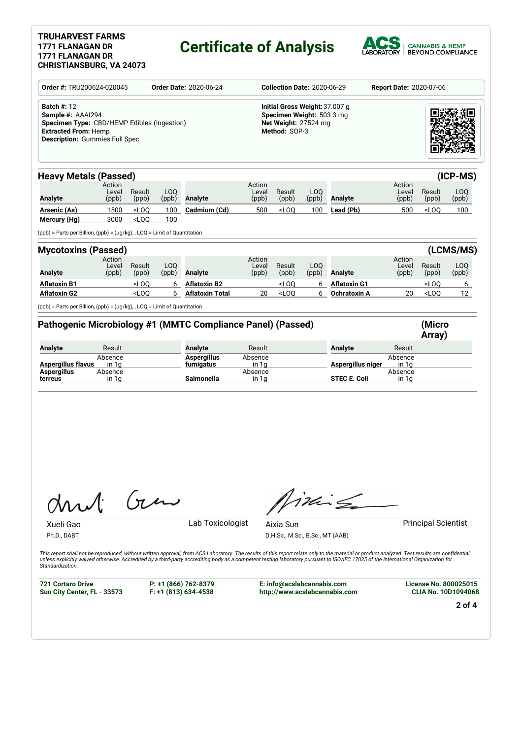# **Certificate of Analysis**



| Order #: TRU200624-020045                                                                                                                                      |                          |                                                                                                                                                                                       | <b>Order Date: 2020-06-24</b>                                                                        |                                                             | <b>Collection Date: 2020-06-29</b><br><b>Report Date: 2020-07-06</b> |                 |              |                     |                          |                 |                          |
|----------------------------------------------------------------------------------------------------------------------------------------------------------------|--------------------------|---------------------------------------------------------------------------------------------------------------------------------------------------------------------------------------|------------------------------------------------------------------------------------------------------|-------------------------------------------------------------|----------------------------------------------------------------------|-----------------|--------------|---------------------|--------------------------|-----------------|--------------------------|
| <b>Batch #: 12</b><br>Sample #: AAAI294<br>Specimen Type: CBD/HEMP Edibles (Ingestion)<br><b>Extracted From: Hemp</b><br><b>Description: Gummies Full Spec</b> |                          |                                                                                                                                                                                       | Initial Gross Weight: 37.007 g<br>Specimen Weight: 503.3 mg<br>Net Weight: 27524 mg<br>Method: SOP-3 |                                                             |                                                                      |                 |              |                     |                          |                 |                          |
| <b>Heavy Metals (Passed)</b>                                                                                                                                   |                          |                                                                                                                                                                                       |                                                                                                      |                                                             |                                                                      |                 |              |                     |                          |                 | (ICP-MS)                 |
| <b>Analyte</b>                                                                                                                                                 | Action<br>Level<br>(ppb) | Result<br>(ppb)                                                                                                                                                                       | LO <sub>0</sub><br>(ppb)                                                                             | <b>Analyte</b>                                              | Action<br>Level<br>(ppb)                                             | Result<br>(ppb) | LOQ<br>(ppb) | Analyte             | Action<br>Level<br>(ppb) | Result<br>(ppb) | LOQ<br>(ppb)             |
| <b>Arsenic (As)</b>                                                                                                                                            | 1500                     | <loq< td=""><td>100</td><td>Cadmium (Cd)</td><td>500</td><td><math>&lt;</math>LOO</td><td>100</td><td>Lead (Pb)</td><td>500</td><td><math>&lt;</math>LOQ</td><td>100</td></loq<>      | 100                                                                                                  | Cadmium (Cd)                                                | 500                                                                  | $<$ LOO         | 100          | Lead (Pb)           | 500                      | $<$ LOQ         | 100                      |
| Mercury (Hg)                                                                                                                                                   | 3000                     | $<$ LOO                                                                                                                                                                               | 100                                                                                                  |                                                             |                                                                      |                 |              |                     |                          |                 |                          |
| (ppb) = Parts per Billion, (ppb) = (µg/kg), , LOQ = Limit of Quantitation                                                                                      |                          |                                                                                                                                                                                       |                                                                                                      |                                                             |                                                                      |                 |              |                     |                          |                 |                          |
| <b>Mycotoxins (Passed)</b>                                                                                                                                     |                          |                                                                                                                                                                                       |                                                                                                      |                                                             |                                                                      |                 |              |                     |                          |                 | (LCMS/MS)                |
| <b>Analyte</b>                                                                                                                                                 | Action<br>Level<br>(ppb) | Result<br>(ppb)                                                                                                                                                                       | LOQ<br>(ppb)                                                                                         | <b>Analyte</b>                                              | Action<br>Level<br>(ppb)                                             | Result<br>(ppb) | LOQ<br>(ppb) | Analyte             | Action<br>Level<br>(ppb) | Result<br>(ppb) | LO <sub>O</sub><br>(ppb) |
| <b>Aflatoxin B1</b>                                                                                                                                            |                          | <loq< td=""><td>6</td><td><b>Aflatoxin B2</b></td><td></td><td><math>&lt;</math>LOQ</td><td>6</td><td><b>Aflatoxin G1</b></td><td></td><td><math>&lt;</math>LOQ</td><td>6</td></loq<> | 6                                                                                                    | <b>Aflatoxin B2</b>                                         |                                                                      | $<$ LOQ         | 6            | <b>Aflatoxin G1</b> |                          | $<$ LOQ         | 6                        |
| <b>Aflatoxin G2</b>                                                                                                                                            |                          | $<$ LOO                                                                                                                                                                               | 6                                                                                                    | <b>Aflatoxin Total</b>                                      | 20                                                                   | $<$ LOQ         | 6            | Ochratoxin A        | 20                       | $<$ LOQ         | 12 <sup>12</sup>         |
|                                                                                                                                                                |                          |                                                                                                                                                                                       |                                                                                                      |                                                             |                                                                      |                 |              |                     |                          |                 |                          |
|                                                                                                                                                                |                          |                                                                                                                                                                                       |                                                                                                      |                                                             |                                                                      |                 |              |                     |                          | (Micro          |                          |
| (ppb) = Parts per Billion, (ppb) = (µg/kg), , LOQ = Limit of Quantitation                                                                                      |                          |                                                                                                                                                                                       |                                                                                                      | Pathogenic Microbiology #1 (MMTC Compliance Panel) (Passed) |                                                                      |                 |              |                     |                          |                 |                          |
|                                                                                                                                                                | Result                   |                                                                                                                                                                                       |                                                                                                      | <b>Analyte</b>                                              | Result                                                               |                 |              | <b>Analyte</b>      | Result                   | Array)          |                          |
| <b>Analyte</b>                                                                                                                                                 | Absence                  |                                                                                                                                                                                       |                                                                                                      | <b>Aspergillus</b>                                          | Absence                                                              |                 |              |                     | Absence                  |                 |                          |
| Aspergillus flavus<br><b>Aspergillus</b>                                                                                                                       | in 1g<br>Absence         |                                                                                                                                                                                       |                                                                                                      | <u>fumigatus</u>                                            | in 1g<br>Absence                                                     |                 |              | Aspergillus niger   | in 1g<br>Absence         |                 |                          |

Gen

Xueli Gao **Lab Toxicologist** 

Ph.D., DABT

Aixia Sun **Principal Scientist** in Principal Scientist D.H.Sc., M.Sc., B.Sc., MT (AAB)

Titling

This report shall not be reproduced, without written approval, from ACS Laboratory. The results of this report relate only to the material or product analyzed. Test results are confidential<br>unless explicitly waived otherwi *Standardization.*

**721 Cortaro Drive Sun City Center, FL - 33573** **P: +1 (866) 762-8379 F: +1 (813) 634-4538**

**E: info@acslabcannabis.com http://www.acslabcannabis.com** **License No. 800025015 CLIA No. 10D1094068**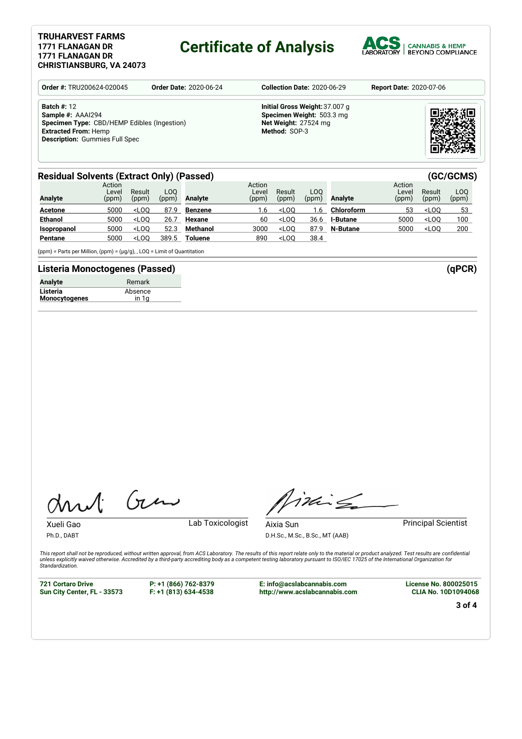# **Certificate of Analysis**



| Order #: TRU200624-020045                                                                                                                                      | <b>Order Date: 2020-06-24</b> | <b>Collection Date: 2020-06-29</b>                                                                   | <b>Report Date: 2020-07-06</b> |
|----------------------------------------------------------------------------------------------------------------------------------------------------------------|-------------------------------|------------------------------------------------------------------------------------------------------|--------------------------------|
| <b>Batch #: 12</b><br>Sample #: AAAI294<br>Specimen Type: CBD/HEMP Edibles (Ingestion)<br><b>Extracted From: Hemp</b><br><b>Description: Gummies Full Spec</b> |                               | Initial Gross Weight: 37.007 g<br>Specimen Weight: 503.3 mg<br>Net Weight: 27524 mg<br>Method: SOP-3 |                                |

## **Residual Solvents (Extract Only) (Passed) (GC/GCMS)**

| <b>Analyte</b> | Action<br>Level<br>(ppm) | Result<br>(ppm) | LOO<br>(ppm) | Analyte         | Action<br>Level<br>(ppm) | Result<br>(ppm)                                                                                         | LOO.<br>(ppm) | <b>Analyte</b>  | Action<br>Level<br>(ppm) | Result<br>(ppm)                 | LOO<br>(ppm) |
|----------------|--------------------------|-----------------|--------------|-----------------|--------------------------|---------------------------------------------------------------------------------------------------------|---------------|-----------------|--------------------------|---------------------------------|--------------|
| <b>Acetone</b> | 5000                     | $<$ LOO         | 87.9         | <b>Benzene</b>  | 1.6                      | <l00< th=""><th>.6</th><th>Chloroform</th><th>53</th><th><math>&lt;</math>LOO</th><th>53</th></l00<>    | .6            | Chloroform      | 53                       | $<$ LOO                         | 53           |
| <b>Ethanol</b> | 5000                     | $<$ LOO         | 26.7         | Hexane          | 60                       | $<$ LOO                                                                                                 | 36.6          | <b>I-Butane</b> | 5000                     | <loo< th=""><th>100</th></loo<> | 100          |
| Isopropanol    | 5000                     | $<$ LOO         | 52.3         | <b>Methanol</b> | 3000                     | <l00< th=""><th>87.9</th><th>N-Butane</th><th>5000</th><th><math>&lt;</math>LOO</th><th>200</th></l00<> | 87.9          | N-Butane        | 5000                     | $<$ LOO                         | 200          |
| Pentane        | 5000                     | $<$ LOO         | 389.5        | Toluene         | 890                      | <l00< th=""><th>38.4</th><th></th><th></th><th></th><th></th></l00<>                                    | 38.4          |                 |                          |                                 |              |

(ppm) = Parts per Million, (ppm) =  $(\mu g/g)$ , , LOQ = Limit of Quantitation

### **Listeria Monoctogenes (Passed) (qPCR)**

| <b>Analyte</b>       | Remark  |  |
|----------------------|---------|--|
| Listeria             | Absence |  |
| <b>Monocytogenes</b> | in 1a   |  |

Gen

Xueli Gao **Lab Toxicologist** Ph.D., DABT

imis

Aixia Sun **Principal Scientist** 

D.H.Sc., M.Sc., B.Sc., MT (AAB)

This report shall not be reproduced, without written approval, from ACS Laboratory. The results of this report relate only to the material or product analyzed. Test results are confidential<br>unless explicitly waived otherwi *Standardization.*

**721 Cortaro Drive Sun City Center, FL - 33573** **P: +1 (866) 762-8379 F: +1 (813) 634-4538**

**E: info@acslabcannabis.com http://www.acslabcannabis.com** **License No. 800025015 CLIA No. 10D1094068**